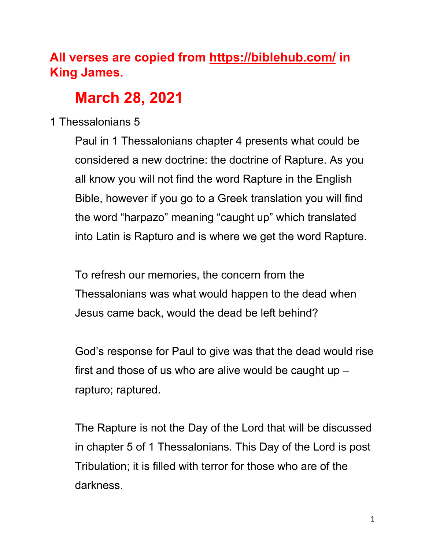# **All verses are copied from https://biblehub.com/ in King James.**

# **March 28, 2021**

# 1 Thessalonians 5

Paul in 1 Thessalonians chapter 4 presents what could be considered a new doctrine: the doctrine of Rapture. As you all know you will not find the word Rapture in the English Bible, however if you go to a Greek translation you will find the word "harpazo" meaning "caught up" which translated into Latin is Rapturo and is where we get the word Rapture.

To refresh our memories, the concern from the Thessalonians was what would happen to the dead when Jesus came back, would the dead be left behind?

God's response for Paul to give was that the dead would rise first and those of us who are alive would be caught up  $$ rapturo; raptured.

The Rapture is not the Day of the Lord that will be discussed in chapter 5 of 1 Thessalonians. This Day of the Lord is post Tribulation; it is filled with terror for those who are of the darkness.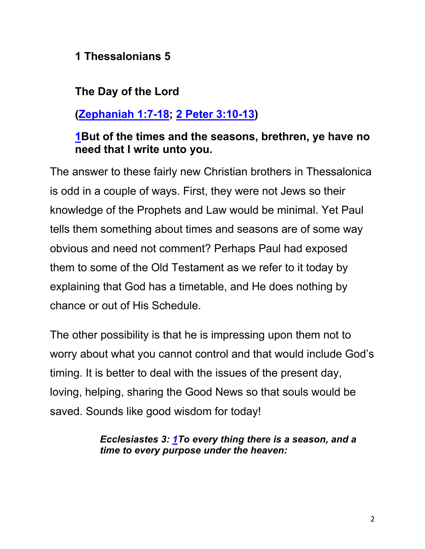#### **1 Thessalonians 5**

# **The Day of the Lord**

# **(Zephaniah 1:7-18; 2 Peter 3:10-13)**

### **1But of the times and the seasons, brethren, ye have no need that I write unto you.**

The answer to these fairly new Christian brothers in Thessalonica is odd in a couple of ways. First, they were not Jews so their knowledge of the Prophets and Law would be minimal. Yet Paul tells them something about times and seasons are of some way obvious and need not comment? Perhaps Paul had exposed them to some of the Old Testament as we refer to it today by explaining that God has a timetable, and He does nothing by chance or out of His Schedule.

The other possibility is that he is impressing upon them not to worry about what you cannot control and that would include God's timing. It is better to deal with the issues of the present day, loving, helping, sharing the Good News so that souls would be saved. Sounds like good wisdom for today!

> *Ecclesiastes 3: 1To every thing there is a season, and a time to every purpose under the heaven:*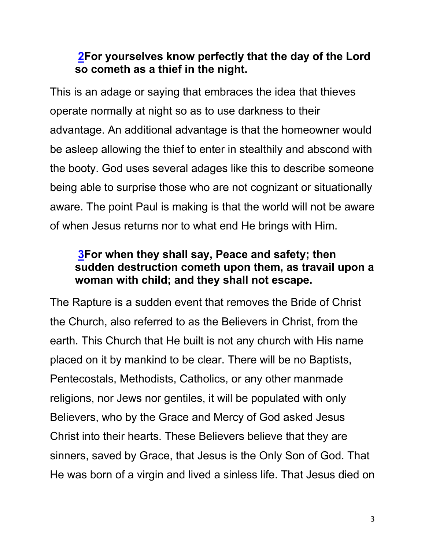### **2For yourselves know perfectly that the day of the Lord so cometh as a thief in the night.**

This is an adage or saying that embraces the idea that thieves operate normally at night so as to use darkness to their advantage. An additional advantage is that the homeowner would be asleep allowing the thief to enter in stealthily and abscond with the booty. God uses several adages like this to describe someone being able to surprise those who are not cognizant or situationally aware. The point Paul is making is that the world will not be aware of when Jesus returns nor to what end He brings with Him.

### **3For when they shall say, Peace and safety; then sudden destruction cometh upon them, as travail upon a woman with child; and they shall not escape.**

The Rapture is a sudden event that removes the Bride of Christ the Church, also referred to as the Believers in Christ, from the earth. This Church that He built is not any church with His name placed on it by mankind to be clear. There will be no Baptists, Pentecostals, Methodists, Catholics, or any other manmade religions, nor Jews nor gentiles, it will be populated with only Believers, who by the Grace and Mercy of God asked Jesus Christ into their hearts. These Believers believe that they are sinners, saved by Grace, that Jesus is the Only Son of God. That He was born of a virgin and lived a sinless life. That Jesus died on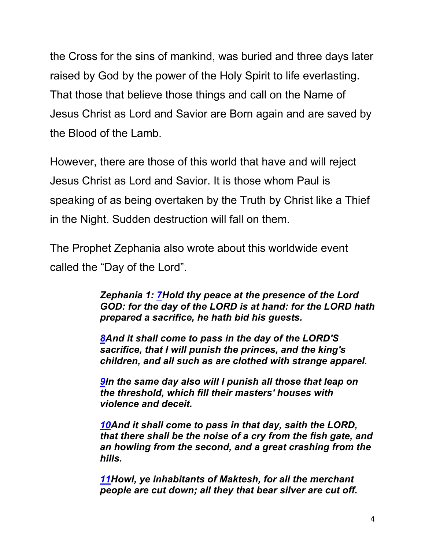the Cross for the sins of mankind, was buried and three days later raised by God by the power of the Holy Spirit to life everlasting. That those that believe those things and call on the Name of Jesus Christ as Lord and Savior are Born again and are saved by the Blood of the Lamb.

However, there are those of this world that have and will reject Jesus Christ as Lord and Savior. It is those whom Paul is speaking of as being overtaken by the Truth by Christ like a Thief in the Night. Sudden destruction will fall on them.

The Prophet Zephania also wrote about this worldwide event called the "Day of the Lord".

> *Zephania 1: 7Hold thy peace at the presence of the Lord GOD: for the day of the LORD is at hand: for the LORD hath prepared a sacrifice, he hath bid his guests.*

*8And it shall come to pass in the day of the LORD'S sacrifice, that I will punish the princes, and the king's children, and all such as are clothed with strange apparel.*

*9In the same day also will I punish all those that leap on the threshold, which fill their masters' houses with violence and deceit.*

*10And it shall come to pass in that day, saith the LORD, that there shall be the noise of a cry from the fish gate, and an howling from the second, and a great crashing from the hills.*

*11Howl, ye inhabitants of Maktesh, for all the merchant people are cut down; all they that bear silver are cut off.*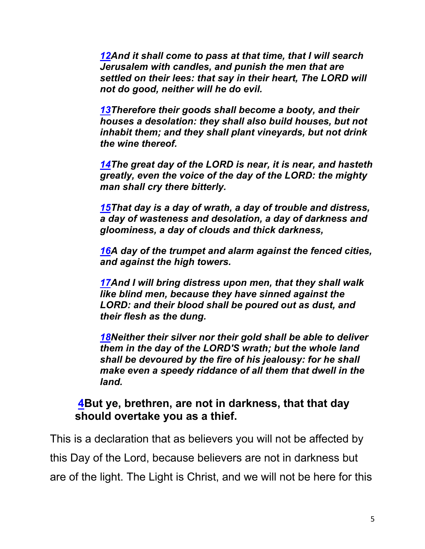*12And it shall come to pass at that time, that I will search Jerusalem with candles, and punish the men that are settled on their lees: that say in their heart, The LORD will not do good, neither will he do evil.*

*13Therefore their goods shall become a booty, and their houses a desolation: they shall also build houses, but not inhabit them; and they shall plant vineyards, but not drink the wine thereof.*

*14The great day of the LORD is near, it is near, and hasteth greatly, even the voice of the day of the LORD: the mighty man shall cry there bitterly.*

*15That day is a day of wrath, a day of trouble and distress, a day of wasteness and desolation, a day of darkness and gloominess, a day of clouds and thick darkness,*

*16A day of the trumpet and alarm against the fenced cities, and against the high towers.*

*17And I will bring distress upon men, that they shall walk like blind men, because they have sinned against the LORD: and their blood shall be poured out as dust, and their flesh as the dung.*

*18Neither their silver nor their gold shall be able to deliver them in the day of the LORD'S wrath; but the whole land shall be devoured by the fire of his jealousy: for he shall make even a speedy riddance of all them that dwell in the land.*

#### **4But ye, brethren, are not in darkness, that that day should overtake you as a thief.**

This is a declaration that as believers you will not be affected by this Day of the Lord, because believers are not in darkness but are of the light. The Light is Christ, and we will not be here for this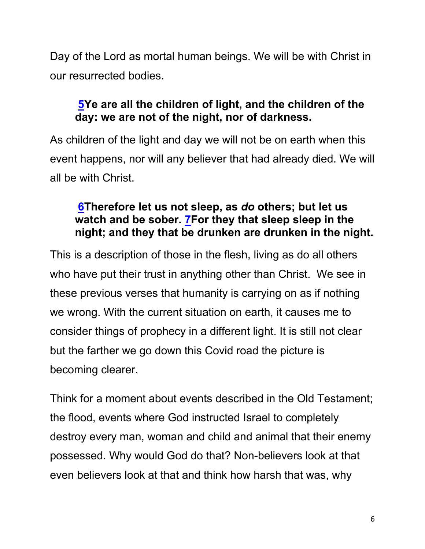Day of the Lord as mortal human beings. We will be with Christ in our resurrected bodies.

# **5Ye are all the children of light, and the children of the day: we are not of the night, nor of darkness.**

As children of the light and day we will not be on earth when this event happens, nor will any believer that had already died. We will all be with Christ.

#### **6Therefore let us not sleep, as** *do* **others; but let us watch and be sober. 7For they that sleep sleep in the night; and they that be drunken are drunken in the night.**

This is a description of those in the flesh, living as do all others who have put their trust in anything other than Christ. We see in these previous verses that humanity is carrying on as if nothing we wrong. With the current situation on earth, it causes me to consider things of prophecy in a different light. It is still not clear but the farther we go down this Covid road the picture is becoming clearer.

Think for a moment about events described in the Old Testament; the flood, events where God instructed Israel to completely destroy every man, woman and child and animal that their enemy possessed. Why would God do that? Non-believers look at that even believers look at that and think how harsh that was, why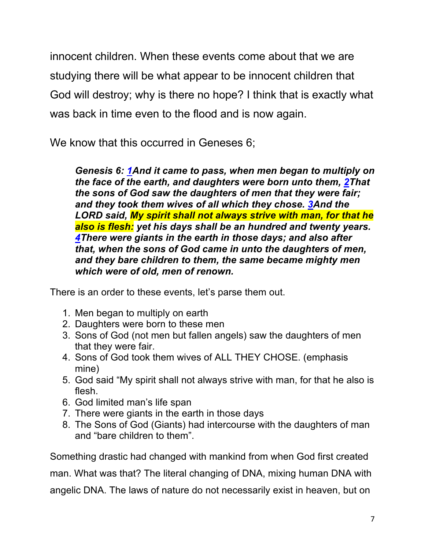innocent children. When these events come about that we are studying there will be what appear to be innocent children that God will destroy; why is there no hope? I think that is exactly what was back in time even to the flood and is now again.

We know that this occurred in Geneses 6;

*Genesis 6: 1And it came to pass, when men began to multiply on the face of the earth, and daughters were born unto them, 2That the sons of God saw the daughters of men that they were fair; and they took them wives of all which they chose. 3And the LORD said, My spirit shall not always strive with man, for that he also is flesh: yet his days shall be an hundred and twenty years. 4There were giants in the earth in those days; and also after that, when the sons of God came in unto the daughters of men, and they bare children to them, the same became mighty men which were of old, men of renown.*

There is an order to these events, let's parse them out.

- 1. Men began to multiply on earth
- 2. Daughters were born to these men
- 3. Sons of God (not men but fallen angels) saw the daughters of men that they were fair.
- 4. Sons of God took them wives of ALL THEY CHOSE. (emphasis mine)
- 5. God said "My spirit shall not always strive with man, for that he also is flesh.
- 6. God limited man's life span
- 7. There were giants in the earth in those days
- 8. The Sons of God (Giants) had intercourse with the daughters of man and "bare children to them".

Something drastic had changed with mankind from when God first created

man. What was that? The literal changing of DNA, mixing human DNA with

angelic DNA. The laws of nature do not necessarily exist in heaven, but on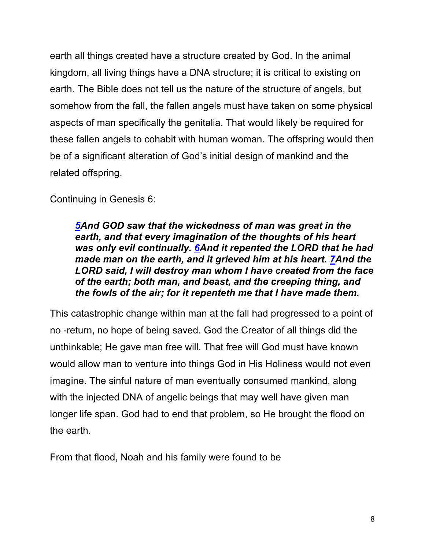earth all things created have a structure created by God. In the animal kingdom, all living things have a DNA structure; it is critical to existing on earth. The Bible does not tell us the nature of the structure of angels, but somehow from the fall, the fallen angels must have taken on some physical aspects of man specifically the genitalia. That would likely be required for these fallen angels to cohabit with human woman. The offspring would then be of a significant alteration of God's initial design of mankind and the related offspring.

Continuing in Genesis 6:

*5And GOD saw that the wickedness of man was great in the earth, and that every imagination of the thoughts of his heart was only evil continually. 6And it repented the LORD that he had made man on the earth, and it grieved him at his heart. 7And the LORD said, I will destroy man whom I have created from the face of the earth; both man, and beast, and the creeping thing, and the fowls of the air; for it repenteth me that I have made them.*

This catastrophic change within man at the fall had progressed to a point of no -return, no hope of being saved. God the Creator of all things did the unthinkable; He gave man free will. That free will God must have known would allow man to venture into things God in His Holiness would not even imagine. The sinful nature of man eventually consumed mankind, along with the injected DNA of angelic beings that may well have given man longer life span. God had to end that problem, so He brought the flood on the earth.

From that flood, Noah and his family were found to be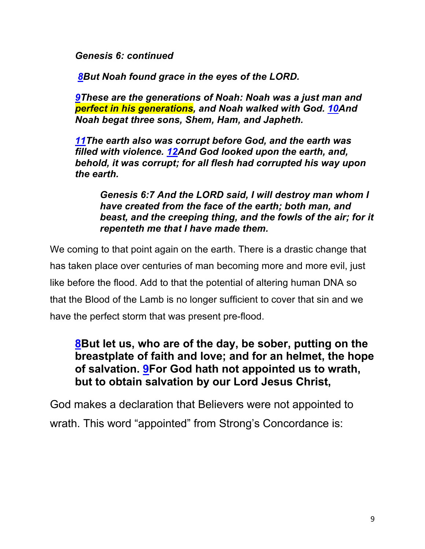*Genesis 6: continued* 

*8But Noah found grace in the eyes of the LORD.*

*9These are the generations of Noah: Noah was a just man and perfect in his generations, and Noah walked with God. 10And Noah begat three sons, Shem, Ham, and Japheth.*

*11The earth also was corrupt before God, and the earth was filled with violence. 12And God looked upon the earth, and, behold, it was corrupt; for all flesh had corrupted his way upon the earth.*

*Genesis 6:7 And the LORD said, I will destroy man whom I have created from the face of the earth; both man, and beast, and the creeping thing, and the fowls of the air; for it repenteth me that I have made them.*

We coming to that point again on the earth. There is a drastic change that has taken place over centuries of man becoming more and more evil, just like before the flood. Add to that the potential of altering human DNA so that the Blood of the Lamb is no longer sufficient to cover that sin and we have the perfect storm that was present pre-flood.

#### **8But let us, who are of the day, be sober, putting on the breastplate of faith and love; and for an helmet, the hope of salvation. 9For God hath not appointed us to wrath, but to obtain salvation by our Lord Jesus Christ,**

God makes a declaration that Believers were not appointed to wrath. This word "appointed" from Strong's Concordance is: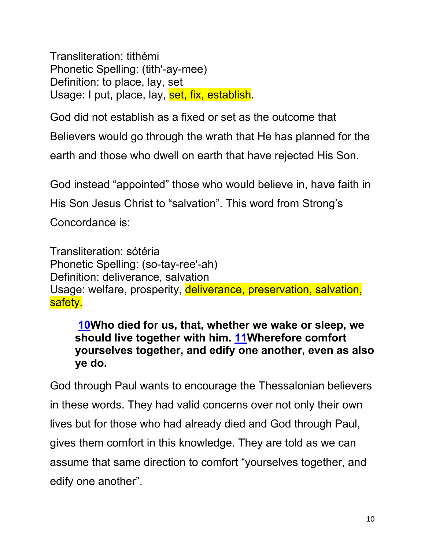Transliteration: tithémi Phonetic Spelling: (tith'-ay-mee) Definition: to place, lay, set Usage: I put, place, lay, set, fix, establish.

God did not establish as a fixed or set as the outcome that

Believers would go through the wrath that He has planned for the

earth and those who dwell on earth that have rejected His Son.

God instead "appointed" those who would believe in, have faith in

His Son Jesus Christ to "salvation". This word from Strong's

Concordance is:

Transliteration: sótéria Phonetic Spelling: (so-tay-ree'-ah) Definition: deliverance, salvation Usage: welfare, prosperity, deliverance, preservation, salvation, safety.

**10Who died for us, that, whether we wake or sleep, we should live together with him. 11Wherefore comfort yourselves together, and edify one another, even as also ye do.**

God through Paul wants to encourage the Thessalonian believers in these words. They had valid concerns over not only their own lives but for those who had already died and God through Paul, gives them comfort in this knowledge. They are told as we can assume that same direction to comfort "yourselves together, and edify one another".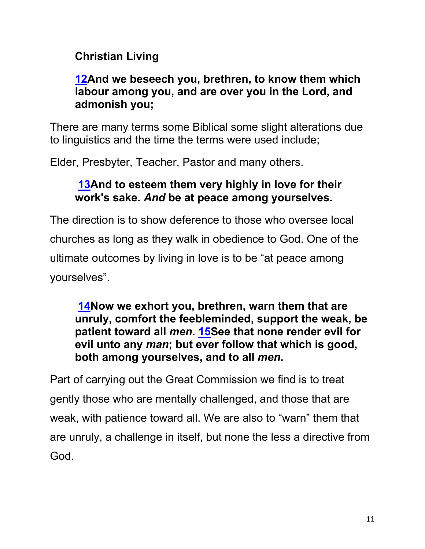# **Christian Living**

#### **12And we beseech you, brethren, to know them which labour among you, and are over you in the Lord, and admonish you;**

There are many terms some Biblical some slight alterations due to linguistics and the time the terms were used include;

Elder, Presbyter, Teacher, Pastor and many others.

#### **13And to esteem them very highly in love for their work's sake.** *And* **be at peace among yourselves.**

The direction is to show deference to those who oversee local churches as long as they walk in obedience to God. One of the ultimate outcomes by living in love is to be "at peace among yourselves".

**14Now we exhort you, brethren, warn them that are unruly, comfort the feebleminded, support the weak, be patient toward all** *men***. 15See that none render evil for evil unto any** *man***; but ever follow that which is good, both among yourselves, and to all** *men***.**

Part of carrying out the Great Commission we find is to treat gently those who are mentally challenged, and those that are weak, with patience toward all. We are also to "warn" them that are unruly, a challenge in itself, but none the less a directive from God.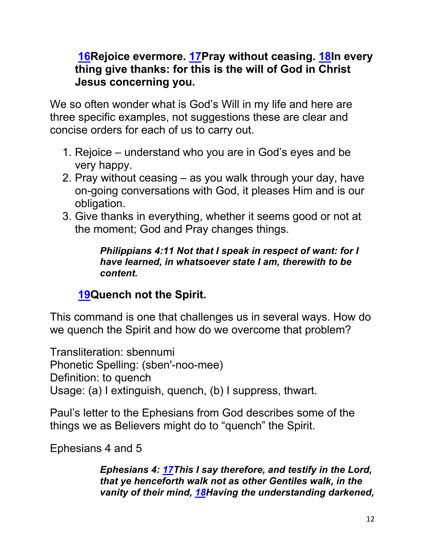#### **16Rejoice evermore. 17Pray without ceasing. 18In every thing give thanks: for this is the will of God in Christ Jesus concerning you.**

We so often wonder what is God's Will in my life and here are three specific examples, not suggestions these are clear and concise orders for each of us to carry out.

- 1. Rejoice understand who you are in God's eyes and be very happy.
- 2. Pray without ceasing as you walk through your day, have on-going conversations with God, it pleases Him and is our obligation.
- 3. Give thanks in everything, whether it seems good or not at the moment; God and Pray changes things.

*Philippians 4:11 Not that I speak in respect of want: for I have learned, in whatsoever state I am, therewith to be content.*

# **19Quench not the Spirit.**

This command is one that challenges us in several ways. How do we quench the Spirit and how do we overcome that problem?

Transliteration: sbennumi Phonetic Spelling: (sben'-noo-mee) Definition: to quench Usage: (a) I extinguish, quench, (b) I suppress, thwart.

Paul's letter to the Ephesians from God describes some of the things we as Believers might do to "quench" the Spirit.

Ephesians 4 and 5

*Ephesians 4: 17This I say therefore, and testify in the Lord, that ye henceforth walk not as other Gentiles walk, in the vanity of their mind, 18Having the understanding darkened,*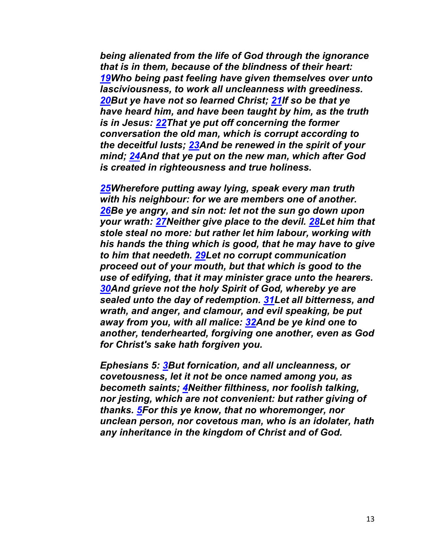*being alienated from the life of God through the ignorance that is in them, because of the blindness of their heart: 19Who being past feeling have given themselves over unto lasciviousness, to work all uncleanness with greediness. 20But ye have not so learned Christ; 21If so be that ye have heard him, and have been taught by him, as the truth is in Jesus: 22That ye put off concerning the former conversation the old man, which is corrupt according to the deceitful lusts; 23And be renewed in the spirit of your mind; 24And that ye put on the new man, which after God is created in righteousness and true holiness.*

*25Wherefore putting away lying, speak every man truth with his neighbour: for we are members one of another. 26Be ye angry, and sin not: let not the sun go down upon your wrath: 27Neither give place to the devil. 28Let him that stole steal no more: but rather let him labour, working with his hands the thing which is good, that he may have to give to him that needeth. 29Let no corrupt communication proceed out of your mouth, but that which is good to the use of edifying, that it may minister grace unto the hearers. 30And grieve not the holy Spirit of God, whereby ye are sealed unto the day of redemption. 31Let all bitterness, and wrath, and anger, and clamour, and evil speaking, be put away from you, with all malice: 32And be ye kind one to another, tenderhearted, forgiving one another, even as God for Christ's sake hath forgiven you.*

*Ephesians 5: 3But fornication, and all uncleanness, or covetousness, let it not be once named among you, as becometh saints; 4Neither filthiness, nor foolish talking, nor jesting, which are not convenient: but rather giving of thanks. 5For this ye know, that no whoremonger, nor unclean person, nor covetous man, who is an idolater, hath any inheritance in the kingdom of Christ and of God.*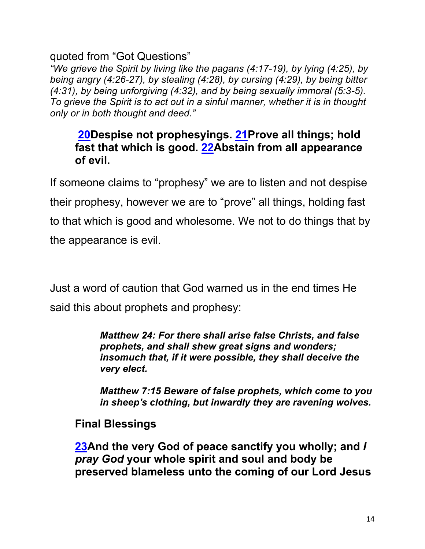#### quoted from "Got Questions"

*"We grieve the Spirit by living like the pagans (4:17-19), by lying (4:25), by being angry (4:26-27), by stealing (4:28), by cursing (4:29), by being bitter (4:31), by being unforgiving (4:32), and by being sexually immoral (5:3-5). To grieve the Spirit is to act out in a sinful manner, whether it is in thought only or in both thought and deed."*

#### **20Despise not prophesyings. 21Prove all things; hold fast that which is good. 22Abstain from all appearance of evil.**

If someone claims to "prophesy" we are to listen and not despise their prophesy, however we are to "prove" all things, holding fast to that which is good and wholesome. We not to do things that by the appearance is evil.

Just a word of caution that God warned us in the end times He said this about prophets and prophesy:

> *Matthew 24: For there shall arise false Christs, and false prophets, and shall shew great signs and wonders; insomuch that, if it were possible, they shall deceive the very elect.*

*Matthew 7:15 Beware of false prophets, which come to you in sheep's clothing, but inwardly they are ravening wolves.*

#### **Final Blessings**

**23And the very God of peace sanctify you wholly; and** *I pray God* **your whole spirit and soul and body be preserved blameless unto the coming of our Lord Jesus**